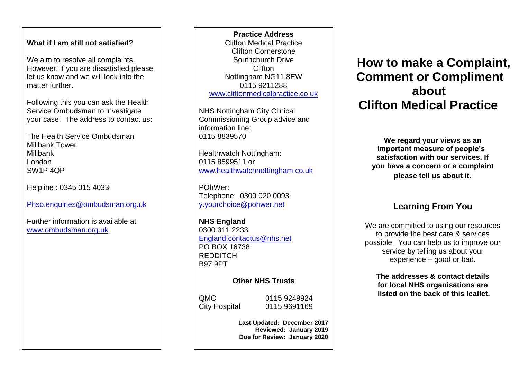### **What if I am still not satisfied**?

We aim to resolve all complaints. However, if you are dissatisfied please let us know and we will look into the matter further.

Following this you can ask the Health Service Ombudsman to investigate your case. The address to contact us:

The Health Service Ombudsman Millbank Tower Millbank London SW1P 4QP

Helpline : 0345 015 4033

[Phso.enquiries@ombudsman.org.uk](mailto:Phso.enquiries@ombudsman.org.uk)

Further information is available at [www.ombudsman.org.uk](http://www.ombudsman.org.uk/)

**About** and the second www.cliftonmedicalpractice.co.uk about **Practice Address** Clifton Medical Practice Clifton Cornerstone Southchurch Drive Clifton Nottingham NG11 8EW 0115 9211288

> **WE REGARD WE REGARD YOU WE REGARD YOU WE REGARD YOU WE REGARD YOU WE REGARD YOU WE ARE** NHS Nottingham City Clinical Commissioning Group advice and information line: 0115 8839570

Healthwatch Nottingham: 0115 8599511 or [www.healthwatchnottingham.co.uk](http://www.healthwatchnottingham.co.uk/)

POhWer: Telephone: 0300 020 0093 [y.yourchoice@pohwer.net](mailto:y.yourchoice@pohwer.net)

**NHS England**  0300 311 2233 [England.contactus@nhs.net](mailto:England.contactus@nhs.net) PO BOX 16738 REDDITCH B97 9PT

# **Other NHS Trusts**

QMC 0115 9249924 City Hospital 0115 9691169

**Last Updated: December 2017 Reviewed: January 2019 Due for Review: January 2020**

# **How to make a Complaint, Comment or Compliment Clifton Medical Practice**

**We regard your views as an important measure of people's satisfaction with our services. If you have a concern or a complaint please tell us about it.**

# **Learning From You**

We are committed to using our resources to provide the best care & services possible. You can help us to improve our service by telling us about your experience – good or bad.

**The addresses & contact details for local NHS organisations are listed on the back of this leaflet.**